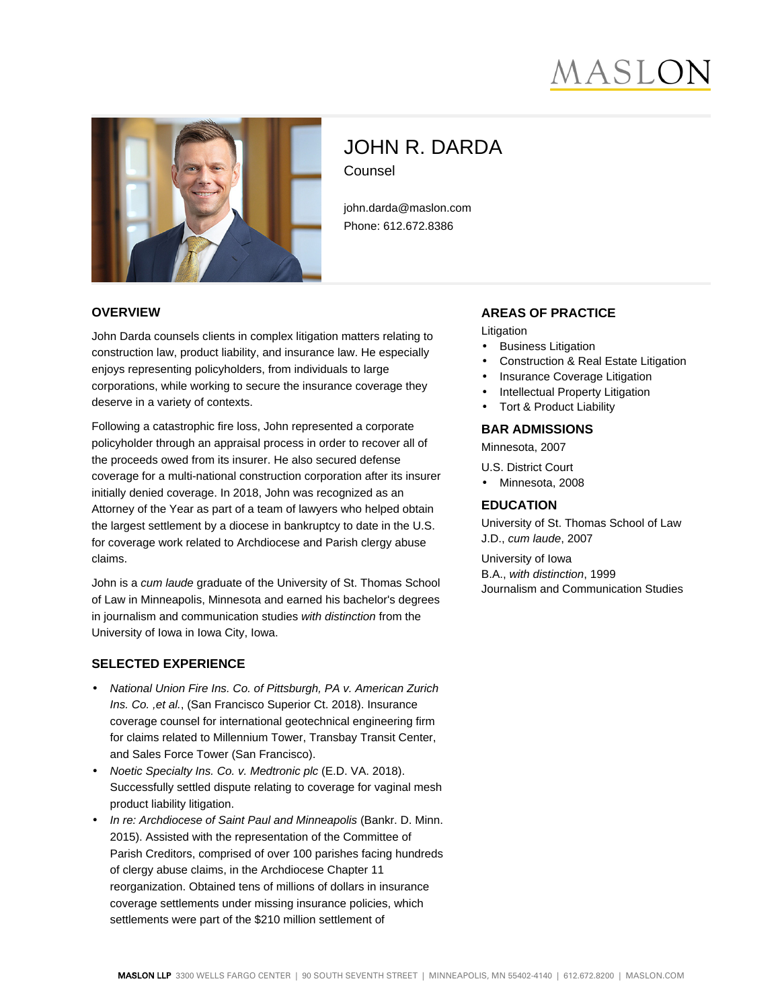# IASL



# JOHN R. DARDA Counsel

john.darda@maslon.com Phone: 612.672.8386

#### **OVERVIEW**

John Darda counsels clients in complex litigation matters relating to construction law, product liability, and insurance law. He especially enjoys representing policyholders, from individuals to large corporations, while working to secure the insurance coverage they deserve in a variety of contexts.

Following a catastrophic fire loss, John represented a corporate policyholder through an appraisal process in order to recover all of the proceeds owed from its insurer. He also secured defense coverage for a multi-national construction corporation after its insurer initially denied coverage. In 2018, John was recognized as an Attorney of the Year as part of a team of lawyers who helped obtain the largest settlement by a diocese in bankruptcy to date in the U.S. for coverage work related to Archdiocese and Parish clergy abuse claims.

John is a cum laude graduate of the University of St. Thomas School of Law in Minneapolis, Minnesota and earned his bachelor's degrees in journalism and communication studies with distinction from the University of Iowa in Iowa City, Iowa.

### **SELECTED EXPERIENCE**

- National Union Fire Ins. Co. of Pittsburgh, PA v. American Zurich Ins. Co., et al., (San Francisco Superior Ct. 2018). Insurance coverage counsel for international geotechnical engineering firm for claims related to Millennium Tower, Transbay Transit Center, and Sales Force Tower (San Francisco).
- Noetic Specialty Ins. Co. v. Medtronic plc (E.D. VA. 2018). Successfully settled dispute relating to coverage for vaginal mesh product liability litigation.
- In re: Archdiocese of Saint Paul and Minneapolis (Bankr. D. Minn. 2015). Assisted with the representation of the Committee of Parish Creditors, comprised of over 100 parishes facing hundreds of clergy abuse claims, in the Archdiocese Chapter 11 reorganization. Obtained tens of millions of dollars in insurance coverage settlements under missing insurance policies, which settlements were part of the \$210 million settlement of

#### **AREAS OF PRACTICE**

Litigation

- **Business Litigation**
- Construction & Real Estate Litigation
- Insurance Coverage Litigation
- Intellectual Property Litigation
- Tort & Product Liability

#### **BAR ADMISSIONS**

Minnesota, 2007

U.S. District Court

• Minnesota, 2008

# **EDUCATION**

University of St. Thomas School of Law J.D., cum laude, 2007

University of Iowa B.A., with distinction, 1999 Journalism and Communication Studies